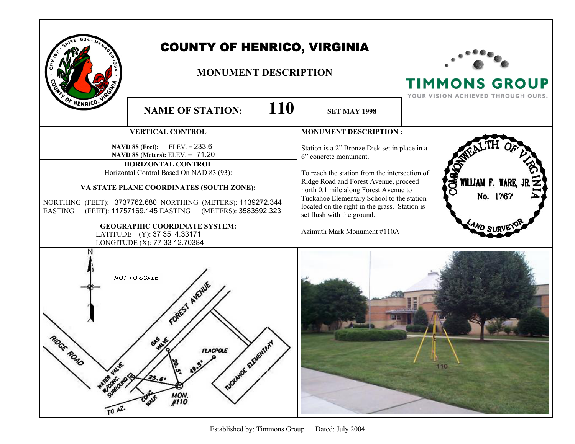|                                                            | <b>COUNTY OF HENRICO, VIRGINIA</b><br><b>MONUMENT DESCRIPTION</b>                                                                                                                                                                                                                                                                                                                                                    |                                                                                                                                                                                                                                                                                                                                                                      | <b>TIMMONS GROUP</b><br>YOUR VISION ACHIEVED THROUGH OURS. |
|------------------------------------------------------------|----------------------------------------------------------------------------------------------------------------------------------------------------------------------------------------------------------------------------------------------------------------------------------------------------------------------------------------------------------------------------------------------------------------------|----------------------------------------------------------------------------------------------------------------------------------------------------------------------------------------------------------------------------------------------------------------------------------------------------------------------------------------------------------------------|------------------------------------------------------------|
| HENRICO-                                                   | 110<br><b>NAME OF STATION:</b>                                                                                                                                                                                                                                                                                                                                                                                       | <b>SET MAY 1998</b>                                                                                                                                                                                                                                                                                                                                                  |                                                            |
|                                                            | <b>VERTICAL CONTROL</b>                                                                                                                                                                                                                                                                                                                                                                                              | <b>MONUMENT DESCRIPTION:</b>                                                                                                                                                                                                                                                                                                                                         |                                                            |
| <b>EASTING</b>                                             | <b>NAVD 88 (Feet):</b> ELEV. = $233.6$<br>NAVD 88 (Meters): ELEV. = 71.20<br>HORIZONTAL CONTROL<br>Horizontal Control Based On NAD 83 (93):<br>VA STATE PLANE COORDINATES (SOUTH ZONE):<br>NORTHING (FEET): 3737762.680 NORTHING (METERS): 1139272.344<br>(FEET): 11757169.145 EASTING (METERS): 3583592.323<br><b>GEOGRAPHIC COORDINATE SYSTEM:</b><br>LATITUDE (Y): 37 35 4.33171<br>LONGITUDE (X): 77 33 12.70384 | Station is a 2" Bronze Disk set in place in a<br>6" concrete monument.<br>To reach the station from the intersection of<br>Ridge Road and Forest Avenue, proceed<br>north 0.1 mile along Forest Avenue to<br>Tuckahoe Elementary School to the station<br>located on the right in the grass. Station is<br>set flush with the ground.<br>Azimuth Mark Monument #110A | WILLIAM F. WARE,<br>No. 1767                               |
| GE ROAD<br>WANTED WEB ONLY<br>$\frac{1}{10}$ $\frac{1}{2}$ | NOT TO SCALE<br>FOREST AVENUE<br>DOCKMOR ELEVENTARY<br>FLACPOLE<br>19.5<br>19:19<br>25.6<br><b>MON.</b><br>#110<br>CO WY                                                                                                                                                                                                                                                                                             |                                                                                                                                                                                                                                                                                                                                                                      | 110                                                        |